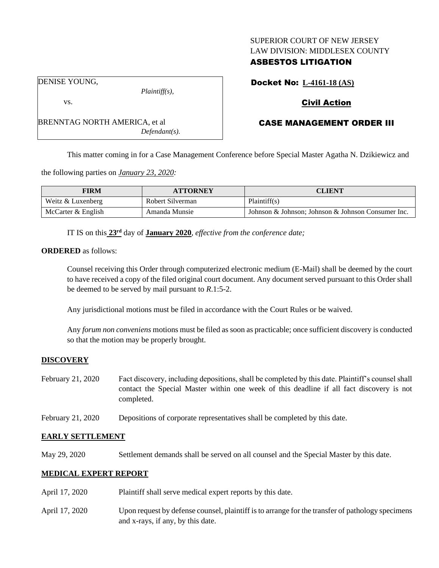### SUPERIOR COURT OF NEW JERSEY LAW DIVISION: MIDDLESEX COUNTY

# ASBESTOS LITIGATION

DENISE YOUNG,

vs.

*Plaintiff(s),*

*Defendant(s).*

Docket No: **L-4161-18 (AS)**

# Civil Action

## CASE MANAGEMENT ORDER III

This matter coming in for a Case Management Conference before Special Master Agatha N. Dzikiewicz and

the following parties on *January 23, 2020:*

BRENNTAG NORTH AMERICA, et al

| <b>FIRM</b>        | <b>ATTORNEY</b>  | CLIENT                                             |
|--------------------|------------------|----------------------------------------------------|
| Weitz & Luxenberg  | Robert Silverman | Plaintiff(s)                                       |
| McCarter & English | Amanda Munsie    | Johnson & Johnson; Johnson & Johnson Consumer Inc. |

IT IS on this **23rd** day of **January 2020**, *effective from the conference date;*

### **ORDERED** as follows:

Counsel receiving this Order through computerized electronic medium (E-Mail) shall be deemed by the court to have received a copy of the filed original court document. Any document served pursuant to this Order shall be deemed to be served by mail pursuant to *R*.1:5-2.

Any jurisdictional motions must be filed in accordance with the Court Rules or be waived.

Any *forum non conveniens* motions must be filed as soon as practicable; once sufficient discovery is conducted so that the motion may be properly brought.

### **DISCOVERY**

- February 21, 2020 Fact discovery, including depositions, shall be completed by this date. Plaintiff's counsel shall contact the Special Master within one week of this deadline if all fact discovery is not completed.
- February 21, 2020 Depositions of corporate representatives shall be completed by this date.

### **EARLY SETTLEMENT**

May 29, 2020 Settlement demands shall be served on all counsel and the Special Master by this date.

## **MEDICAL EXPERT REPORT**

- April 17, 2020 Plaintiff shall serve medical expert reports by this date.
- April 17, 2020 Upon request by defense counsel, plaintiff is to arrange for the transfer of pathology specimens and x-rays, if any, by this date.